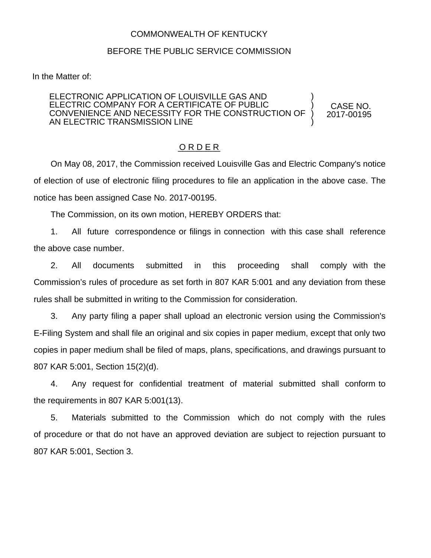## COMMONWEALTH OF KENTUCKY

## BEFORE THE PUBLIC SERVICE COMMISSION

In the Matter of:

## ELECTRONIC APPLICATION OF LOUISVILLE GAS AND ELECTRIC COMPANY FOR A CERTIFICATE OF PUBLIC CONVENIENCE AND NECESSITY FOR THE CONSTRUCTION OF AN ELECTRIC TRANSMISSION LINE ) ) ) )

CASE NO. 2017-00195

## O R D E R

On May 08, 2017, the Commission received Louisville Gas and Electric Company's notice of election of use of electronic filing procedures to file an application in the above case. The notice has been assigned Case No. 2017-00195.

The Commission, on its own motion, HEREBY ORDERS that:

1. All future correspondence or filings in connection with this case shall reference the above case number.

2. All documents submitted in this proceeding shall comply with the Commission's rules of procedure as set forth in 807 KAR 5:001 and any deviation from these rules shall be submitted in writing to the Commission for consideration.

3. Any party filing a paper shall upload an electronic version using the Commission's E-Filing System and shall file an original and six copies in paper medium, except that only two copies in paper medium shall be filed of maps, plans, specifications, and drawings pursuant to 807 KAR 5:001, Section 15(2)(d).

4. Any request for confidential treatment of material submitted shall conform to the requirements in 807 KAR 5:001(13).

5. Materials submitted to the Commission which do not comply with the rules of procedure or that do not have an approved deviation are subject to rejection pursuant to 807 KAR 5:001, Section 3.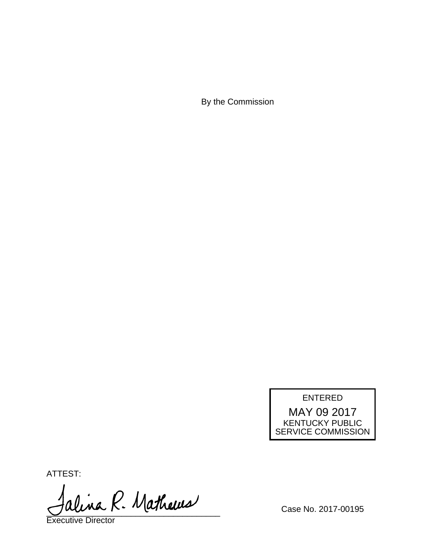By the Commission

ENTERED MAY 09 2017

KENTUCKY PUBLIC SERVICE COMMISSION

ATTEST:

alina R. Mathews

Executive Director

Case No. 2017-00195